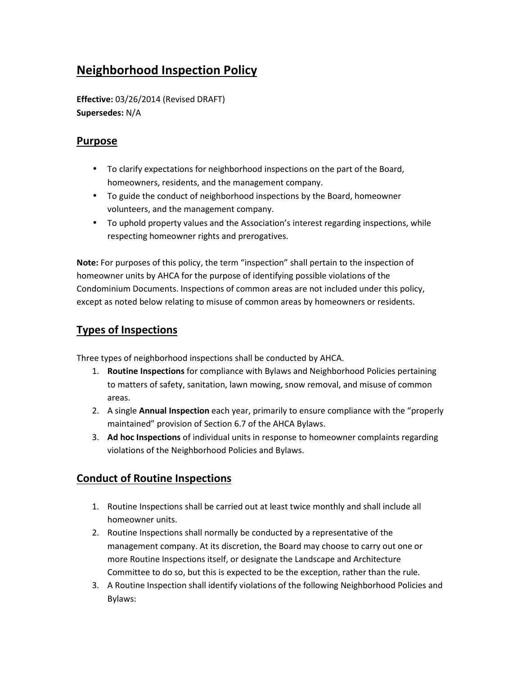# **Neighborhood Inspection Policy**

**Effective:** 03/26/2014 (Revised DRAFT) **Supersedes:** N/A

## **Purpose**

- To clarify expectations for neighborhood inspections on the part of the Board, homeowners, residents, and the management company.
- To guide the conduct of neighborhood inspections by the Board, homeowner volunteers, and the management company.
- To uphold property values and the Association's interest regarding inspections, while respecting homeowner rights and prerogatives.

**Note:** For purposes of this policy, the term "inspection" shall pertain to the inspection of homeowner units by AHCA for the purpose of identifying possible violations of the Condominium Documents. Inspections of common areas are not included under this policy, except as noted below relating to misuse of common areas by homeowners or residents.

# **Types of Inspections**

Three types of neighborhood inspections shall be conducted by AHCA.

- 1. **Routine Inspections** for compliance with Bylaws and Neighborhood Policies pertaining to matters of safety, sanitation, lawn mowing, snow removal, and misuse of common areas.
- 2. A single **Annual Inspection** each year, primarily to ensure compliance with the "properly maintained" provision of Section 6.7 of the AHCA Bylaws.
- 3. **Ad hoc Inspections** of individual units in response to homeowner complaints regarding violations of the Neighborhood Policies and Bylaws.

# **Conduct of Routine Inspections**

- 1. Routine Inspections shall be carried out at least twice monthly and shall include all homeowner units.
- 2. Routine Inspections shall normally be conducted by a representative of the management company. At its discretion, the Board may choose to carry out one or more Routine Inspections itself, or designate the Landscape and Architecture Committee to do so, but this is expected to be the exception, rather than the rule.
- 3. A Routine Inspection shall identify violations of the following Neighborhood Policies and Bylaws: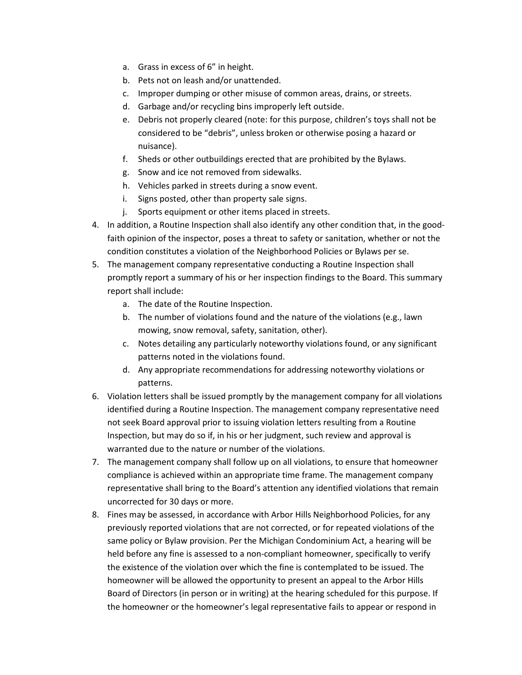- a. Grass in excess of 6" in height.
- b. Pets not on leash and/or unattended.
- c. Improper dumping or other misuse of common areas, drains, or streets.
- d. Garbage and/or recycling bins improperly left outside.
- e. Debris not properly cleared (note: for this purpose, children's toys shall not be considered to be "debris", unless broken or otherwise posing a hazard or nuisance).
- f. Sheds or other outbuildings erected that are prohibited by the Bylaws.
- g. Snow and ice not removed from sidewalks.
- h. Vehicles parked in streets during a snow event.
- i. Signs posted, other than property sale signs.
- j. Sports equipment or other items placed in streets.
- 4. In addition, a Routine Inspection shall also identify any other condition that, in the goodfaith opinion of the inspector, poses a threat to safety or sanitation, whether or not the condition constitutes a violation of the Neighborhood Policies or Bylaws per se.
- 5. The management company representative conducting a Routine Inspection shall promptly report a summary of his or her inspection findings to the Board. This summary report shall include:
	- a. The date of the Routine Inspection.
	- b. The number of violations found and the nature of the violations (e.g., lawn mowing, snow removal, safety, sanitation, other).
	- c. Notes detailing any particularly noteworthy violations found, or any significant patterns noted in the violations found.
	- d. Any appropriate recommendations for addressing noteworthy violations or patterns.
- 6. Violation letters shall be issued promptly by the management company for all violations identified during a Routine Inspection. The management company representative need not seek Board approval prior to issuing violation letters resulting from a Routine Inspection, but may do so if, in his or her judgment, such review and approval is warranted due to the nature or number of the violations.
- 7. The management company shall follow up on all violations, to ensure that homeowner compliance is achieved within an appropriate time frame. The management company representative shall bring to the Board's attention any identified violations that remain uncorrected for 30 days or more.
- 8. Fines may be assessed, in accordance with Arbor Hills Neighborhood Policies, for any previously reported violations that are not corrected, or for repeated violations of the same policy or Bylaw provision. Per the Michigan Condominium Act, a hearing will be held before any fine is assessed to a non-compliant homeowner, specifically to verify the existence of the violation over which the fine is contemplated to be issued. The homeowner will be allowed the opportunity to present an appeal to the Arbor Hills Board of Directors (in person or in writing) at the hearing scheduled for this purpose. If the homeowner or the homeowner's legal representative fails to appear or respond in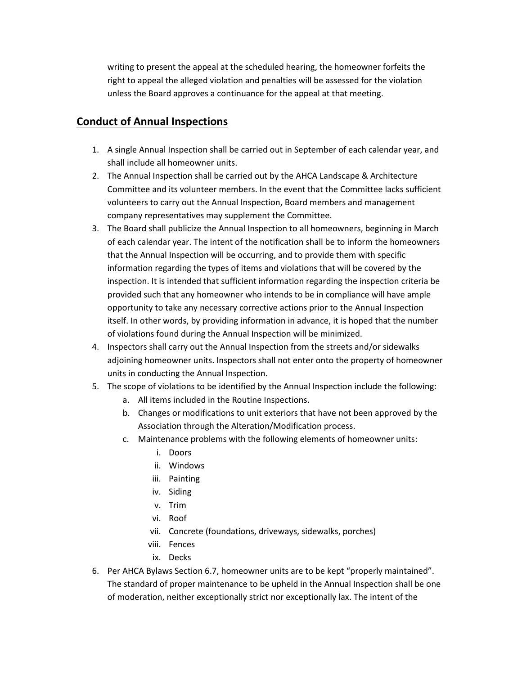writing to present the appeal at the scheduled hearing, the homeowner forfeits the right to appeal the alleged violation and penalties will be assessed for the violation unless the Board approves a continuance for the appeal at that meeting.

## **Conduct of Annual Inspections**

- 1. A single Annual Inspection shall be carried out in September of each calendar year, and shall include all homeowner units.
- 2. The Annual Inspection shall be carried out by the AHCA Landscape & Architecture Committee and its volunteer members. In the event that the Committee lacks sufficient volunteers to carry out the Annual Inspection, Board members and management company representatives may supplement the Committee.
- 3. The Board shall publicize the Annual Inspection to all homeowners, beginning in March of each calendar year. The intent of the notification shall be to inform the homeowners that the Annual Inspection will be occurring, and to provide them with specific information regarding the types of items and violations that will be covered by the inspection. It is intended that sufficient information regarding the inspection criteria be provided such that any homeowner who intends to be in compliance will have ample opportunity to take any necessary corrective actions prior to the Annual Inspection itself. In other words, by providing information in advance, it is hoped that the number of violations found during the Annual Inspection will be minimized.
- 4. Inspectors shall carry out the Annual Inspection from the streets and/or sidewalks adjoining homeowner units. Inspectors shall not enter onto the property of homeowner units in conducting the Annual Inspection.
- 5. The scope of violations to be identified by the Annual Inspection include the following:
	- a. All items included in the Routine Inspections.
	- b. Changes or modifications to unit exteriors that have not been approved by the Association through the Alteration/Modification process.
	- c. Maintenance problems with the following elements of homeowner units:
		- i. Doors
		- ii. Windows
		- iii. Painting
		- iv. Siding
		- v. Trim
		- vi. Roof
		- vii. Concrete (foundations, driveways, sidewalks, porches)
		- viii. Fences
		- ix. Decks
- 6. Per AHCA Bylaws Section 6.7, homeowner units are to be kept "properly maintained". The standard of proper maintenance to be upheld in the Annual Inspection shall be one of moderation, neither exceptionally strict nor exceptionally lax. The intent of the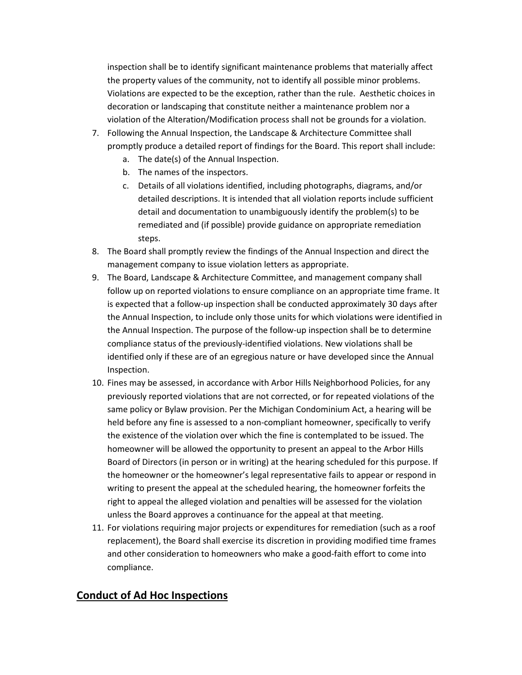inspection shall be to identify significant maintenance problems that materially affect the property values of the community, not to identify all possible minor problems. Violations are expected to be the exception, rather than the rule. Aesthetic choices in decoration or landscaping that constitute neither a maintenance problem nor a violation of the Alteration/Modification process shall not be grounds for a violation.

- 7. Following the Annual Inspection, the Landscape & Architecture Committee shall promptly produce a detailed report of findings for the Board. This report shall include:
	- a. The date(s) of the Annual Inspection.
	- b. The names of the inspectors.
	- c. Details of all violations identified, including photographs, diagrams, and/or detailed descriptions. It is intended that all violation reports include sufficient detail and documentation to unambiguously identify the problem(s) to be remediated and (if possible) provide guidance on appropriate remediation steps.
- 8. The Board shall promptly review the findings of the Annual Inspection and direct the management company to issue violation letters as appropriate.
- 9. The Board, Landscape & Architecture Committee, and management company shall follow up on reported violations to ensure compliance on an appropriate time frame. It is expected that a follow-up inspection shall be conducted approximately 30 days after the Annual Inspection, to include only those units for which violations were identified in the Annual Inspection. The purpose of the follow-up inspection shall be to determine compliance status of the previously-identified violations. New violations shall be identified only if these are of an egregious nature or have developed since the Annual Inspection.
- 10. Fines may be assessed, in accordance with Arbor Hills Neighborhood Policies, for any previously reported violations that are not corrected, or for repeated violations of the same policy or Bylaw provision. Per the Michigan Condominium Act, a hearing will be held before any fine is assessed to a non-compliant homeowner, specifically to verify the existence of the violation over which the fine is contemplated to be issued. The homeowner will be allowed the opportunity to present an appeal to the Arbor Hills Board of Directors (in person or in writing) at the hearing scheduled for this purpose. If the homeowner or the homeowner's legal representative fails to appear or respond in writing to present the appeal at the scheduled hearing, the homeowner forfeits the right to appeal the alleged violation and penalties will be assessed for the violation unless the Board approves a continuance for the appeal at that meeting.
- 11. For violations requiring major projects or expenditures for remediation (such as a roof replacement), the Board shall exercise its discretion in providing modified time frames and other consideration to homeowners who make a good-faith effort to come into compliance.

#### **Conduct of Ad Hoc Inspections**